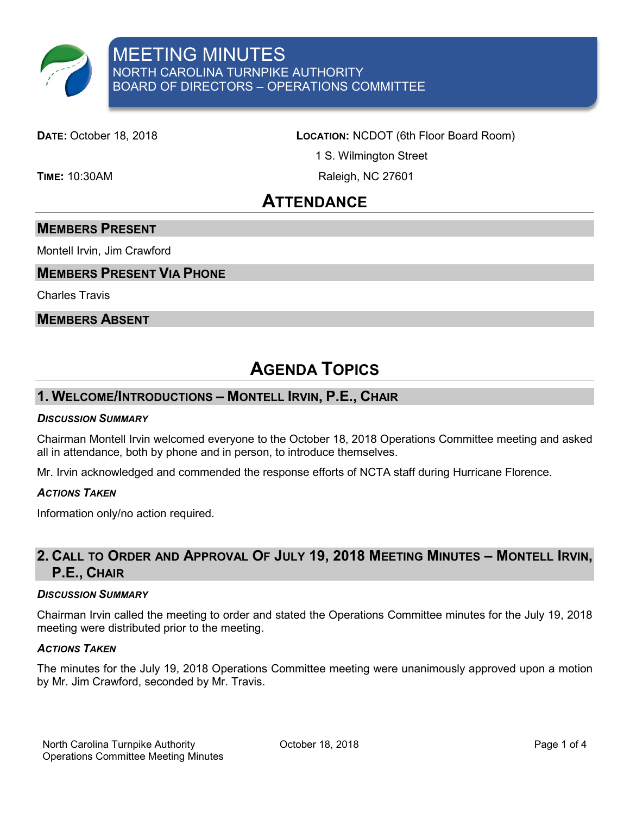

**DATE:** October 18, 2018 **LOCATION:** NCDOT (6th Floor Board Room)

1 S. Wilmington Street

**TIME:** 10:30AM Raleigh, NC 27601

## **ATTENDANCE**

### **MEMBERS PRESENT**

Montell Irvin, Jim Crawford

### **MEMBERS PRESENT VIA PHONE**

Charles Travis

#### **MEMBERS ABSENT**

# **AGENDA TOPICS**

### **1. WELCOME/INTRODUCTIONS – MONTELL IRVIN, P.E., CHAIR**

#### *DISCUSSION SUMMARY*

Chairman Montell Irvin welcomed everyone to the October 18, 2018 Operations Committee meeting and asked all in attendance, both by phone and in person, to introduce themselves.

Mr. Irvin acknowledged and commended the response efforts of NCTA staff during Hurricane Florence.

#### *ACTIONS TAKEN*

Information only/no action required.

### **2. CALL TO ORDER AND APPROVAL OF JULY 19, 2018 MEETING MINUTES – MONTELL IRVIN, P.E., CHAIR**

#### *DISCUSSION SUMMARY*

Chairman Irvin called the meeting to order and stated the Operations Committee minutes for the July 19, 2018 meeting were distributed prior to the meeting.

#### *ACTIONS TAKEN*

The minutes for the July 19, 2018 Operations Committee meeting were unanimously approved upon a motion by Mr. Jim Crawford, seconded by Mr. Travis.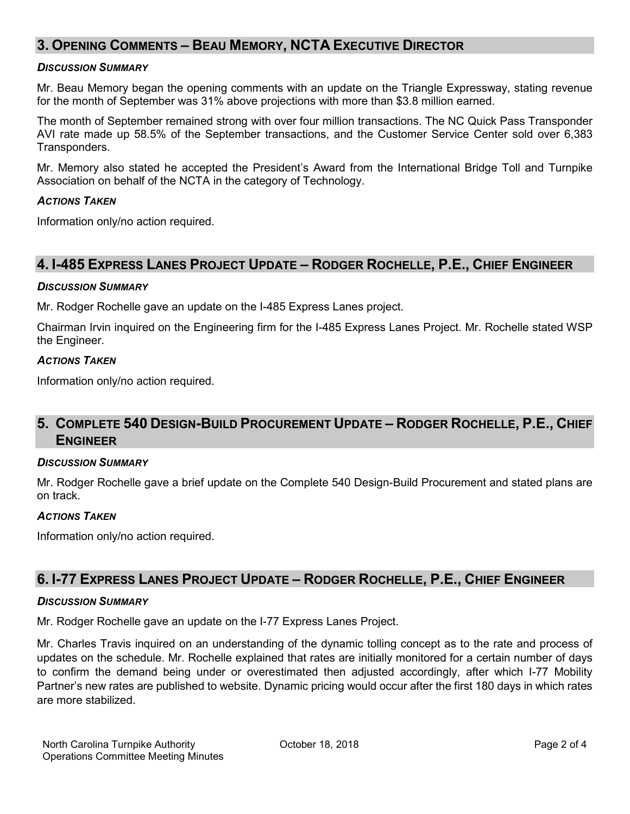### **3. OPENING COMMENTS – BEAU MEMORY, NCTA EXECUTIVE DIRECTOR**

#### *DISCUSSION SUMMARY*

Mr. Beau Memory began the opening comments with an update on the Triangle Expressway, stating revenue for the month of September was 31% above projections with more than \$3.8 million earned.

The month of September remained strong with over four million transactions. The NC Quick Pass Transponder AVI rate made up 58.5% of the September transactions, and the Customer Service Center sold over 6,383 Transponders.

Mr. Memory also stated he accepted the President's Award from the International Bridge Toll and Turnpike Association on behalf of the NCTA in the category of Technology.

#### *ACTIONS TAKEN*

Information only/no action required.

### **4. I-485 EXPRESS LANES PROJECT UPDATE – RODGER ROCHELLE, P.E., CHIEF ENGINEER**

#### *DISCUSSION SUMMARY*

Mr. Rodger Rochelle gave an update on the I-485 Express Lanes project.

Chairman Irvin inquired on the Engineering firm for the I-485 Express Lanes Project. Mr. Rochelle stated WSP the Engineer.

#### *ACTIONS TAKEN*

Information only/no action required.

### **5. COMPLETE 540 DESIGN-BUILD PROCUREMENT UPDATE – RODGER ROCHELLE, P.E., CHIEF ENGINEER**

#### *DISCUSSION SUMMARY*

Mr. Rodger Rochelle gave a brief update on the Complete 540 Design-Build Procurement and stated plans are on track.

#### *ACTIONS TAKEN*

Information only/no action required.

### **6. I-77 EXPRESS LANES PROJECT UPDATE – RODGER ROCHELLE, P.E., CHIEF ENGINEER**

#### *DISCUSSION SUMMARY*

Mr. Rodger Rochelle gave an update on the I-77 Express Lanes Project.

Mr. Charles Travis inquired on an understanding of the dynamic tolling concept as to the rate and process of updates on the schedule. Mr. Rochelle explained that rates are initially monitored for a certain number of days to confirm the demand being under or overestimated then adjusted accordingly, after which I-77 Mobility Partner's new rates are published to website. Dynamic pricing would occur after the first 180 days in which rates are more stabilized.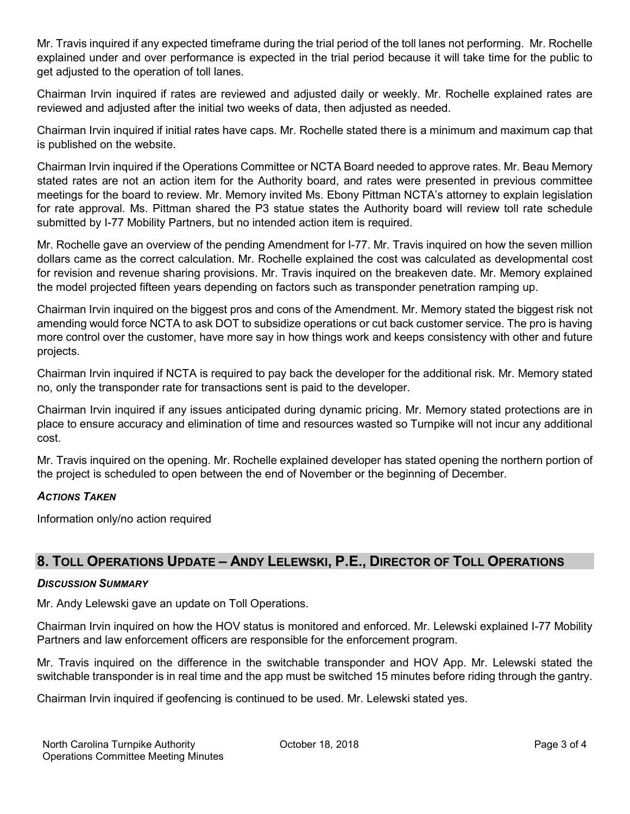Mr. Travis inquired if any expected timeframe during the trial period of the toll lanes not performing. Mr. Rochelle explained under and over performance is expected in the trial period because it will take time for the public to get adjusted to the operation of toll lanes.

Chairman Irvin inquired if rates are reviewed and adjusted daily or weekly. Mr. Rochelle explained rates are reviewed and adjusted after the initial two weeks of data, then adjusted as needed.

Chairman Irvin inquired if initial rates have caps. Mr. Rochelle stated there is a minimum and maximum cap that is published on the website.

Chairman Irvin inquired if the Operations Committee or NCTA Board needed to approve rates. Mr. Beau Memory stated rates are not an action item for the Authority board, and rates were presented in previous committee meetings for the board to review. Mr. Memory invited Ms. Ebony Pittman NCTA's attorney to explain legislation for rate approval. Ms. Pittman shared the P3 statue states the Authority board will review toll rate schedule submitted by I-77 Mobility Partners, but no intended action item is required.

Mr. Rochelle gave an overview of the pending Amendment for I-77. Mr. Travis inquired on how the seven million dollars came as the correct calculation. Mr. Rochelle explained the cost was calculated as developmental cost for revision and revenue sharing provisions. Mr. Travis inquired on the breakeven date. Mr. Memory explained the model projected fifteen years depending on factors such as transponder penetration ramping up.

Chairman Irvin inquired on the biggest pros and cons of the Amendment. Mr. Memory stated the biggest risk not amending would force NCTA to ask DOT to subsidize operations or cut back customer service. The pro is having more control over the customer, have more say in how things work and keeps consistency with other and future projects.

Chairman Irvin inquired if NCTA is required to pay back the developer for the additional risk. Mr. Memory stated no, only the transponder rate for transactions sent is paid to the developer.

Chairman Irvin inquired if any issues anticipated during dynamic pricing. Mr. Memory stated protections are in place to ensure accuracy and elimination of time and resources wasted so Turnpike will not incur any additional cost.

Mr. Travis inquired on the opening. Mr. Rochelle explained developer has stated opening the northern portion of the project is scheduled to open between the end of November or the beginning of December.

#### *ACTIONS TAKEN*

Information only/no action required

### **8. TOLL OPERATIONS UPDATE – ANDY LELEWSKI, P.E., DIRECTOR OF TOLL OPERATIONS**

#### *DISCUSSION SUMMARY*

Mr. Andy Lelewski gave an update on Toll Operations.

Chairman Irvin inquired on how the HOV status is monitored and enforced. Mr. Lelewski explained I-77 Mobility Partners and law enforcement officers are responsible for the enforcement program.

Mr. Travis inquired on the difference in the switchable transponder and HOV App. Mr. Lelewski stated the switchable transponder is in real time and the app must be switched 15 minutes before riding through the gantry.

Chairman Irvin inquired if geofencing is continued to be used. Mr. Lelewski stated yes.